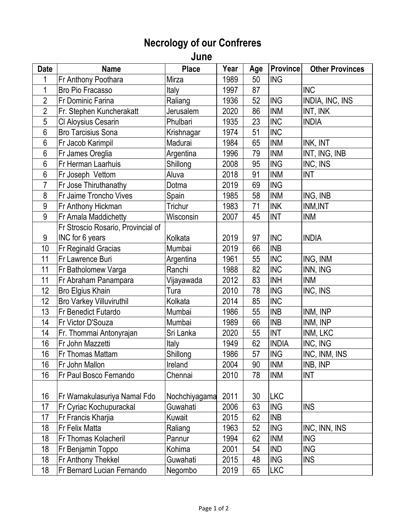## **Necrology of our Confreres**

**June** 

| <b>Date</b>     | <b>Name</b>                        | <b>Place</b>  | Year | Age | <b>Province</b> | <b>Other Provinces</b> |
|-----------------|------------------------------------|---------------|------|-----|-----------------|------------------------|
| 1               | Fr Anthony Poothara                | Mirza         | 1989 | 50  | <b>ING</b>      |                        |
| 1               | Bro Pio Fracasso                   | Italy         | 1997 | 87  |                 | <b>INC</b>             |
| $\overline{2}$  | Fr Dominic Farina                  | Raliang       | 1936 | 52  | <b>ING</b>      | <b>INDIA, INC, INS</b> |
| $\overline{2}$  | Fr. Stephen Kuncherakatt           | Jerusalem     | 2020 | 86  | <b>INM</b>      | INT, INK               |
| 5               | CI Aloysius Cesarin                | Phulbari      | 1935 | 23  | <b>INC</b>      | <b>INDIA</b>           |
| $6\phantom{.}6$ | <b>Bro Tarcisius Sona</b>          | Krishnagar    | 1974 | 51  | <b>INC</b>      |                        |
| $6\phantom{.}6$ | Fr Jacob Karimpil                  | Madurai       | 1984 | 65  | <b>INM</b>      | INK, INT               |
| 6               | Fr James Oreglia                   | Argentina     | 1996 | 79  | <b>INM</b>      | INT, ING, INB          |
| 6               | Fr Herman Laarhuis                 | Shillong      | 2008 | 95  | <b>ING</b>      | INC, INS               |
| 6               | Fr Joseph Vettom                   | Aluva         | 2018 | 91  | <b>INM</b>      | <b>INT</b>             |
| 7               | Fr Jose Thiruthanathy              | Dotma         | 2019 | 69  | <b>ING</b>      |                        |
| 8               | Fr Jaime Troncho Vives             | Spain         | 1985 | 58  | <b>INM</b>      | ING, INB               |
| 9               | Fr Anthony Hickman                 | Trichur       | 1983 | 71  | <b>INK</b>      | INM, INT               |
| $9$             | Fr Amala Maddichetty               | Wisconsin     | 2007 | 45  | <b>INT</b>      | <b>INM</b>             |
|                 | Fr Stroscio Rosario, Provincial of |               |      |     |                 |                        |
| 9               | INC for 6 years                    | Kolkata       | 2019 | 97  | <b>INC</b>      | <b>INDIA</b>           |
| 10              | Fr Reginald Gracias                | Mumbai        | 2019 | 66  | <b>INB</b>      |                        |
| 11              | Fr Lawrence Buri                   | Argentina     | 1961 | 55  | <b>INC</b>      | ING, INM               |
| 11              | Fr Batholomew Varga                | Ranchi        | 1988 | 82  | <b>INC</b>      | INN, ING               |
| 11              | Fr Abraham Panampara               | Vijayawada    | 2012 | 83  | <b>INH</b>      | <b>INM</b>             |
| 12              | Bro Elgius Khain                   | Tura          | 2010 | 78  | <b>ING</b>      | INC, INS               |
| 12              | <b>Bro Varkey Villuviruthil</b>    | Kolkata       | 2014 | 85  | <b>INC</b>      |                        |
| 13              | Fr Benedict Futardo                | Mumbai        | 1986 | 55  | <b>INB</b>      | INM, INP               |
| 14              | Fr Victor D'Souza                  | Mumbai        | 1989 | 66  | <b>INB</b>      | INM, INP               |
| 14              | Fr. Thommai Antonyrajan            | Sri Lanka     | 2020 | 55  | <b>INT</b>      | INM, LKC               |
| 16              | Fr John Mazzetti                   | Italy         | 1949 | 62  | <b>INDIA</b>    | INC, ING               |
| 16              | Fr Thomas Mattam                   | Shillong      | 1986 | 57  | <b>ING</b>      | INC, INM, INS          |
| 16              | Fr John Mallon                     | Ireland       | 2004 | 90  | <b>INM</b>      | INB, INP               |
| 16              | Fr Paul Bosco Fernando             | Chennai       | 2010 | 78  | <b>INM</b>      | <b>INT</b>             |
|                 |                                    |               |      |     |                 |                        |
| 16              | Fr Warnakulasuriya Namal Fdo       | Nochchiyagama | 2011 | 30  | <b>LKC</b>      |                        |
| 17              | Fr Cyriac Kochupurackal            | Guwahati      | 2006 | 63  | <b>ING</b>      | <b>INS</b>             |
| 17              | Fr Francis Kharjia                 | Kuwait        | 2015 | 62  | <b>INB</b>      |                        |
| 18              | Fr Felix Matta                     | Raliang       | 1963 | 52  | <b>ING</b>      | INC, INN, INS          |
| 18              | Fr Thomas Kolacheril               | Pannur        | 1994 | 62  | <b>INM</b>      | <b>ING</b>             |
| 18              | Fr Benjamin Toppo                  | Kohima        | 2001 | 54  | <b>IND</b>      | <b>ING</b>             |
| 18              | Fr Anthony Thekkel                 | Guwahati      | 2015 | 48  | <b>ING</b>      | <b>INS</b>             |
| 18              | Fr Bernard Lucian Fernando         | Negombo       | 2019 | 65  | LKC             |                        |